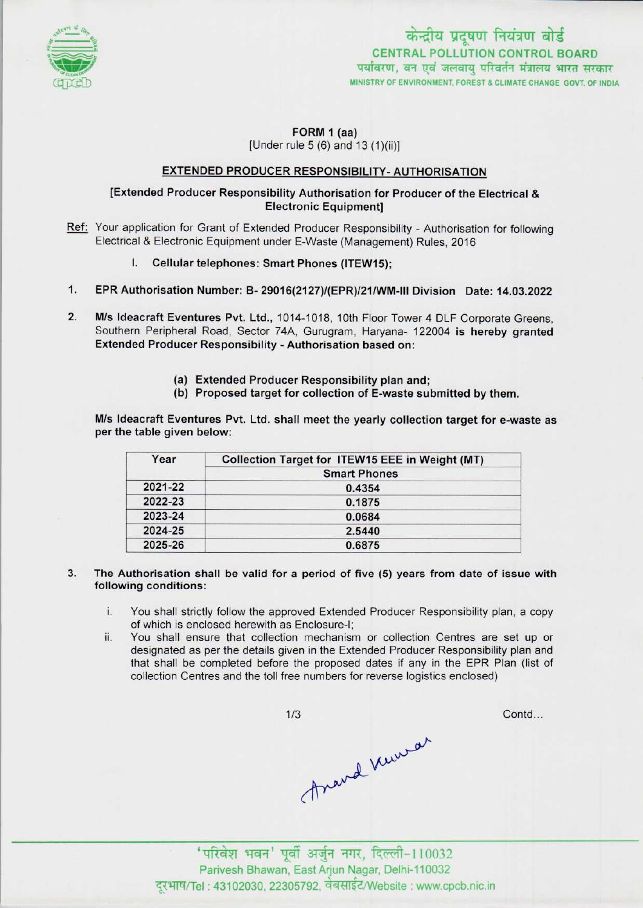

 $FORM 1 (aa)$ 

[Under rule  $5(6)$  and  $13(1)(ii)$ ]

### EXTENDED PRODUCER RESPONSIBILITY- AUTHORISATION

## [Extended Producer Responsibility Authorisation for Producer of the Electrical & Electronic Equipment]

- Ref: Your application for Grant of Extended Producer Responsibility Authorisation for following Electrical & Electronic Equipment under E-Waste (Management) Rules, 2016
	- I. Cellular telephones: Smart Phones (ITEW15);
- 1.EPR Authorisation Number: B- 29016(2127)/{EPR)/21/WM-lll Division Date: 14.03.2022
- 2. M/s Ideacraft Eventures Pvt. Ltd., 1014-1018, 10th Floor Tower 4 DLF Corporate Greens, Southern Peripheral Road, Sector 74A, Gurugram, Haryana- 122004 is hereby granted Extended Producer Responsibility - Authorisation based on:
	- (a)Extended Producer Responsibility plan and;
	- (b) Proposed target for collection of E-waste submitted by them.

M/s Ideacraft Eventures Pvt. Ltd. shall meet the yearly collection target for e-waste as per the table given below:

| Year    | Collection Target for ITEW15 EEE in Weight (MT) |
|---------|-------------------------------------------------|
|         | <b>Smart Phones</b>                             |
| 2021-22 | 0.4354                                          |
| 2022-23 | 0.1875                                          |
| 2023-24 | 0.0684                                          |
| 2024-25 | 2.5440                                          |
| 2025-26 | 0.6875                                          |

- 3. The Authorisation shall be valid for a period of five  $(5)$  years from date of issue with following conditions:
	- i. You shall strictly follow the approved Extended Producer Responsibility plan, a copy of which is enclosed herewith as Enclosure-I;
	- ii. You shall ensure that collection mechanism or collection Centres are set up or designated as per the details given in the Extended Producer Responsibility plan and that shall be completed before the proposed dates if any in the EPR Plan (list of collection Centres and the toll free numbers for reverse logistics enclosed)

 $1/3$ Anand Newsar

Contd...

' परिवेश भवन' पूर्वी अर्जुन नगर, दिल्ली-110032 Parivesh Bhawan, East Arjun Nagar, Delhi-110032 दुरभाष/Tel: 43102030, 22305792, वेबसाईट/Website : www.cpcb.nic.in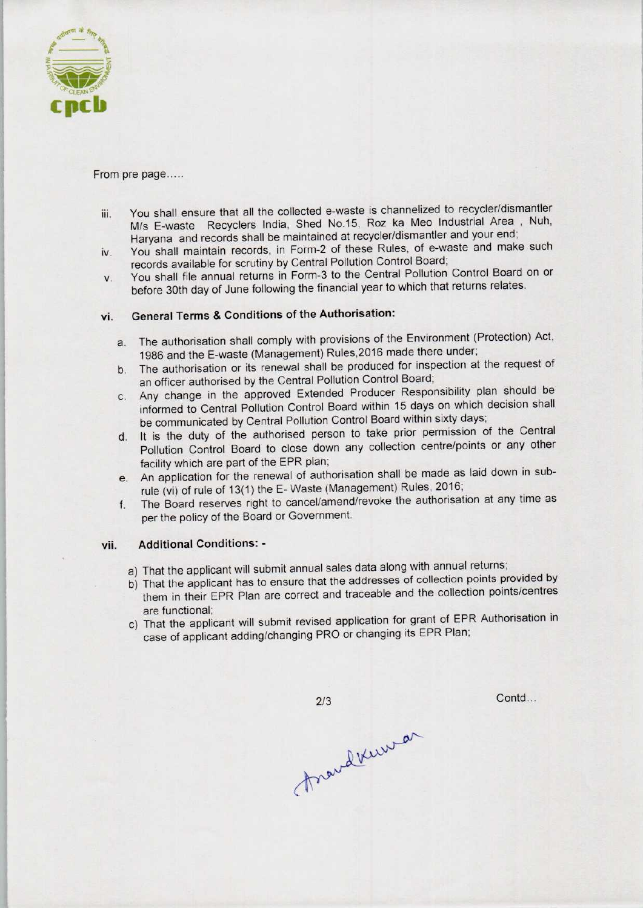

#### From pre page.....

- iii. You shall ensure that all the collected e-waste is channelized to recycler/dismantler M/s E-waste Recyclers India, Shed No.15, Roz ka Meo Industrial Area , Nuh, Haryana and records shall be maintained at recycler/dismantler and your end;
- iv. You shall maintain records, in Form-2 of these Rules, of e-waste and make such records available for scrutiny by Central Pollution Control Board;
- v. You shall file annual returns in Form-3 to the Central Pollution Control Board on or before 30th day of June following the financial year to which that returns relates.

# vi. General Terms & Conditions of the Authorisation:

- a.The authorisation shall comply with provisions of the Environment (Protection) Act, 1986 and the E-waste (Management) Rules,2016 made there under;
- b.The authorisation or its renewal shall be produced for inspection at the request of an officer authorised by the Central Pollution Control Board;
- c.Any change in the approved Extended Producer Responsibility plan should be informed to Central Pollution Control Board within 15 days on which decision shall be communicated by Central Pollution Control Board within sixty days;
- d. It is the duty of the authorised person to take prior permission of the Central Pollution Control Board to close down any collection centre/points or any other facility which are part of the EPR plan;
- e.An application for the renewal of authorisation shall be made aslaid down in subrule (vi) of rule of 13(1) the E- Waste (Management) Rules, 2016;
- f. The Board reserves right to cancel/amend/revoke the authorisation at any time as per the policy of the Board or Government.

## vii. Additional Conditions: -

- a) That the applicant will submit annual sales data along with annual returns;
- b)That the applicant has to ensure that the addresses of collection points provided by them in their EPR Plan are correct and traceable and the collection points/centres are functional;
- c) That the applicant will submit revised application for grant of EPR Authorisation in case of applicant adding/changing PRO or changing its EPR Plan;

 $2/3$ 

Contd...

Anandersonan